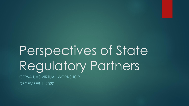# Perspectives of State Regulatory Partners

CERSA UAS VIRTUAL WORKSHOP

DECEMBER 1, 2020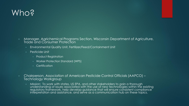# Who?

- Manager, Agrichemical Programs Section, Wisconsin Department of Agriculture, Trade and Consumer Protection
	- Environmental Quality Unit, Fertilizer/Feed/Containment Unit
	- Pesticide Unit
		- Product Registration
		- Worker Protection Standard (WPS)
		- Certification
- Chairperson, Association of American Pesticide Control Officials (AAPCO) Technology Workgroup
	- Mission: To work with states, US EPA, and other stakeholders to gain a thorough understanding of issues associated with the use of new technologies within the existing regulatory framework, help develop guidance that will ensure consistent compliance interpretation and assistance, and serve as a communication hub on these topics.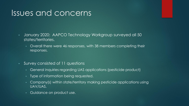#### Issues and concerns

- January 2020: AAPCO Technology Workgroup surveyed all 50 states/territories.
	- Overall there were 46 responses, with 38 members completing their responses.
- Survey consisted of 11 questions
	- General inquiries regarding UAS applications (pesticide product)
	- Type of information being requested.
	- Company(s) within state/territory making pesticide applications using UAV/UAS.
	- Guidance on product use.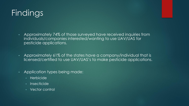# Findings

- Approximately 74% of those surveyed have received inquiries from individuals/companies interested/wanting to use UAV/UAS for pesticide applications.
- Approximately 61% of the states have a company/individual that is licensed/certified to use UAV/UAS's to make pesticide applications.
- Application types being made:
	- Herbicide
	- **Insecticide**
	- Vector control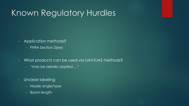#### Known Regulatory Hurdles

- Application methods?
	- FIFRA Section 2(ee)
- What products can be used via UAV/UAS methods?
	- "may be aerially applied…."
- Unclear labeling
	- Nozzle angle/type
	- Boom length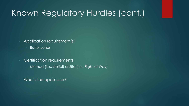## Known Regulatory Hurdles (cont.)

- Application requirement(s)
	- Buffer zones
- Certification requirements
	- Method (i.e., Aerial) or Site (i.e., Right of Way)
- Who is the applicator?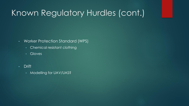# Known Regulatory Hurdles (cont.)

- Worker Protection Standard (WPS)
	- Chemical resistant clothing
	- Gloves
- Drift
	- Modelling for UAV/UAS?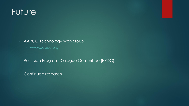### **Future**

- AAPCO Technology Workgroup
	- [www.aapco.org](http://www.aapco.org/)
- Pesticide Program Dialogue Committee (PPDC)
- Continued research